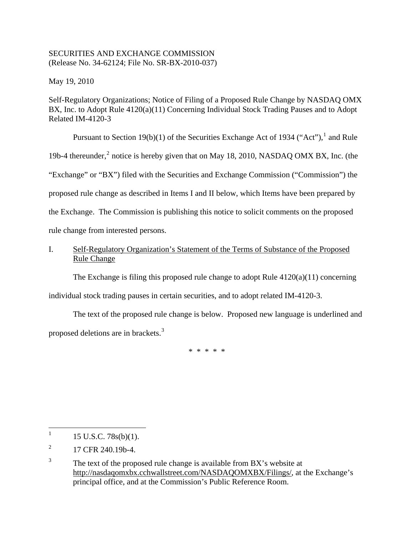# SECURITIES AND EXCHANGE COMMISSION (Release No. 34-62124; File No. SR-BX-2010-037)

May 19, 2010

Self-Regulatory Organizations; Notice of Filing of a Proposed Rule Change by NASDAQ OMX BX, Inc. to Adopt Rule  $4120(a)(11)$  Concerning Individual Stock Trading Pauses and to Adopt Related IM-4120-3

Pursuant to Section [1](#page-0-0)9(b)(1) of the Securities Exchange Act of 1934 ("Act"),  $\frac{1}{1}$  and Rule 19b-4 thereunder,<sup>[2](#page-0-1)</sup> notice is hereby given that on May 18, 2010, NASDAQ OMX BX, Inc. (the "Exchange" or "BX") filed with the Securities and Exchange Commission ("Commission") the proposed rule change as described in Items I and II below, which Items have been prepared by the Exchange. The Commission is publishing this notice to solicit comments on the proposed rule change from interested persons.

# I. Self-Regulatory Organization's Statement of the Terms of Substance of the Proposed Rule Change

The Exchange is filing this proposed rule change to adopt Rule 4120(a)(11) concerning

individual stock trading pauses in certain securities, and to adopt related IM-4120-3.

The text of the proposed rule change is below. Proposed new language is underlined and proposed deletions are in brackets.[3](#page-0-2)

\* \* \* \* \*

<span id="page-0-0"></span> $\frac{1}{1}$ 15 U.S.C. 78s(b)(1).

<span id="page-0-1"></span><sup>2</sup> 17 CFR 240.19b-4.

<span id="page-0-2"></span><sup>3</sup> The text of the proposed rule change is available from BX's website at http://nasdaqomxbx.cchwallstreet.com/NASDAQOMXBX/Filings/, at the Exchange's principal office, and at the Commission's Public Reference Room.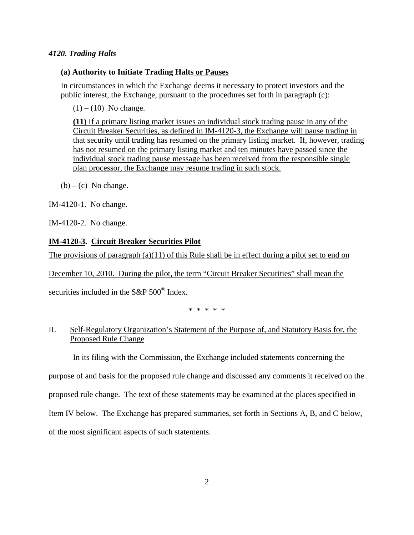## *4120. Trading Halts*

## **(a) Authority to Initiate Trading Halts or Pauses**

In circumstances in which the Exchange deems it necessary to protect investors and the public interest, the Exchange, pursuant to the procedures set forth in paragraph (c):

 $(1) - (10)$  No change.

**(11)** If a primary listing market issues an individual stock trading pause in any of the Circuit Breaker Securities, as defined in IM-4120-3, the Exchange will pause trading in that security until trading has resumed on the primary listing market. If, however, trading has not resumed on the primary listing market and ten minutes have passed since the individual stock trading pause message has been received from the responsible single plan processor, the Exchange may resume trading in such stock.

 $(b) - (c)$  No change.

IM-4120-1. No change.

IM-4120-2. No change.

## **IM-4120-3. Circuit Breaker Securities Pilot**

The provisions of paragraph (a)(11) of this Rule shall be in effect during a pilot set to end on

December 10, 2010. During the pilot, the term "Circuit Breaker Securities" shall mean the

securities included in the S&P 500<sup>®</sup> Index.

\* \* \* \* \*

# II. Self-Regulatory Organization's Statement of the Purpose of, and Statutory Basis for, the Proposed Rule Change

In its filing with the Commission, the Exchange included statements concerning the

purpose of and basis for the proposed rule change and discussed any comments it received on the

proposed rule change. The text of these statements may be examined at the places specified in

Item IV below. The Exchange has prepared summaries, set forth in Sections A, B, and C below,

of the most significant aspects of such statements.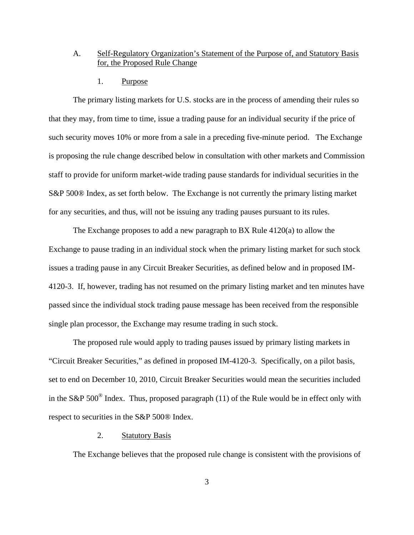## A. Self-Regulatory Organization's Statement of the Purpose of, and Statutory Basis for, the Proposed Rule Change

1. Purpose

The primary listing markets for U.S. stocks are in the process of amending their rules so that they may, from time to time, issue a trading pause for an individual security if the price of such security moves 10% or more from a sale in a preceding five-minute period. The Exchange is proposing the rule change described below in consultation with other markets and Commission staff to provide for uniform market-wide trading pause standards for individual securities in the S&P 500® Index, as set forth below. The Exchange is not currently the primary listing market for any securities, and thus, will not be issuing any trading pauses pursuant to its rules.

The Exchange proposes to add a new paragraph to BX Rule 4120(a) to allow the Exchange to pause trading in an individual stock when the primary listing market for such stock issues a trading pause in any Circuit Breaker Securities, as defined below and in proposed IM-4120-3. If, however, trading has not resumed on the primary listing market and ten minutes have passed since the individual stock trading pause message has been received from the responsible single plan processor, the Exchange may resume trading in such stock.

The proposed rule would apply to trading pauses issued by primary listing markets in "Circuit Breaker Securities," as defined in proposed IM-4120-3. Specifically, on a pilot basis, set to end on December 10, 2010, Circuit Breaker Securities would mean the securities included in the S&P 500 $^{\circ}$  Index. Thus, proposed paragraph (11) of the Rule would be in effect only with respect to securities in the S&P 500® Index.

#### 2. Statutory Basis

The Exchange believes that the proposed rule change is consistent with the provisions of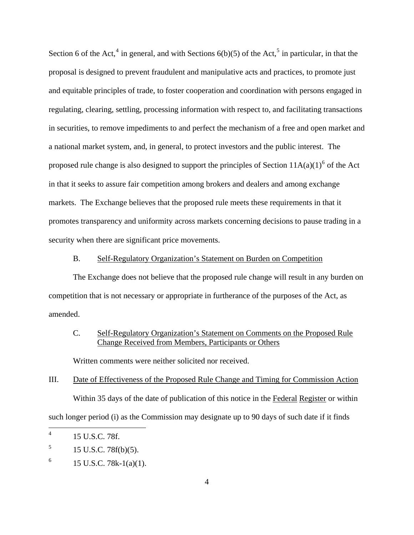Section 6 of the Act,<sup>[4](#page-3-0)</sup> in general, and with Sections  $6(b)(5)$  $6(b)(5)$  $6(b)(5)$  of the Act,<sup>5</sup> in particular, in that the proposal is designed to prevent fraudulent and manipulative acts and practices, to promote just and equitable principles of trade, to foster cooperation and coordination with persons engaged in regulating, clearing, settling, processing information with respect to, and facilitating transactions in securities, to remove impediments to and perfect the mechanism of a free and open market and a national market system, and, in general, to protect investors and the public interest. The proposed rule change is also designed to support the principles of Section  $11A(a)(1)^6$  $11A(a)(1)^6$  of the Act in that it seeks to assure fair competition among brokers and dealers and among exchange markets. The Exchange believes that the proposed rule meets these requirements in that it promotes transparency and uniformity across markets concerning decisions to pause trading in a security when there are significant price movements.

#### B. Self-Regulatory Organization's Statement on Burden on Competition

The Exchange does not believe that the proposed rule change will result in any burden on competition that is not necessary or appropriate in furtherance of the purposes of the Act, as amended.

## C. Self-Regulatory Organization's Statement on Comments on the Proposed Rule Change Received from Members, Participants or Others

Written comments were neither solicited nor received.

# III. Date of Effectiveness of the Proposed Rule Change and Timing for Commission Action Within 35 days of the date of publication of this notice in the Federal Register or within such longer period (i) as the Commission may designate up to 90 days of such date if it finds

<span id="page-3-0"></span> $\frac{1}{4}$ 15 U.S.C. 78f.

<span id="page-3-1"></span><sup>5</sup> 15 U.S.C. 78f(b)(5).

<span id="page-3-2"></span><sup>6</sup> 15 U.S.C. 78k-1(a)(1).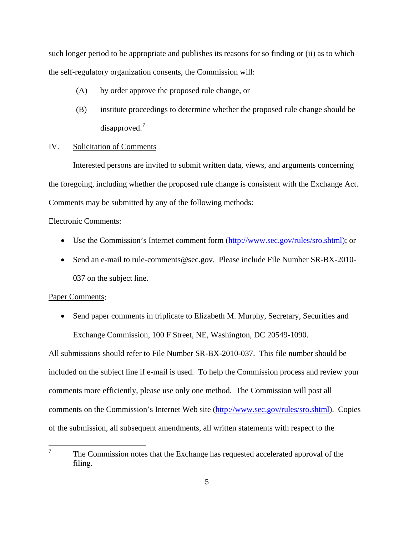such longer period to be appropriate and publishes its reasons for so finding or (ii) as to which the self-regulatory organization consents, the Commission will:

- (A) by order approve the proposed rule change, or
- (B) institute proceedings to determine whether the proposed rule change should be disapproved. $7$

#### IV. Solicitation of Comments

Interested persons are invited to submit written data, views, and arguments concerning the foregoing, including whether the proposed rule change is consistent with the Exchange Act. Comments may be submitted by any of the following methods:

#### Electronic Comments:

- Use the Commission's Internet comment form (http://www.sec.gov/rules/sro.shtml); or
- Send an e-mail to rule-comments@sec.gov. Please include File Number SR-BX-2010-037 on the subject line.

#### Paper Comments:

• Send paper comments in triplicate to Elizabeth M. Murphy, Secretary, Securities and Exchange Commission, 100 F Street, NE, Washington, DC 20549-1090.

All submissions should refer to File Number SR-BX-2010-037. This file number should be included on the subject line if e-mail is used. To help the Commission process and review your comments more efficiently, please use only one method. The Commission will post all comments on the Commission's Internet Web site (http://www.sec.gov/rules/sro.shtml). Copies of the submission, all subsequent amendments, all written statements with respect to the

<span id="page-4-0"></span><sup>—&</sup>lt;br>7 The Commission notes that the Exchange has requested accelerated approval of the filing.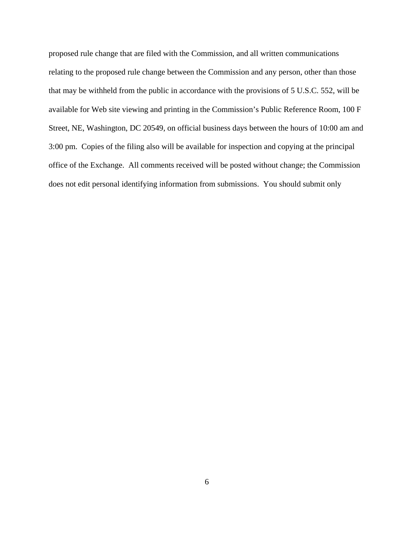proposed rule change that are filed with the Commission, and all written communications relating to the proposed rule change between the Commission and any person, other than those that may be withheld from the public in accordance with the provisions of 5 U.S.C. 552, will be available for Web site viewing and printing in the Commission's Public Reference Room, 100 F Street, NE, Washington, DC 20549, on official business days between the hours of 10:00 am and 3:00 pm. Copies of the filing also will be available for inspection and copying at the principal office of the Exchange. All comments received will be posted without change; the Commission does not edit personal identifying information from submissions. You should submit only